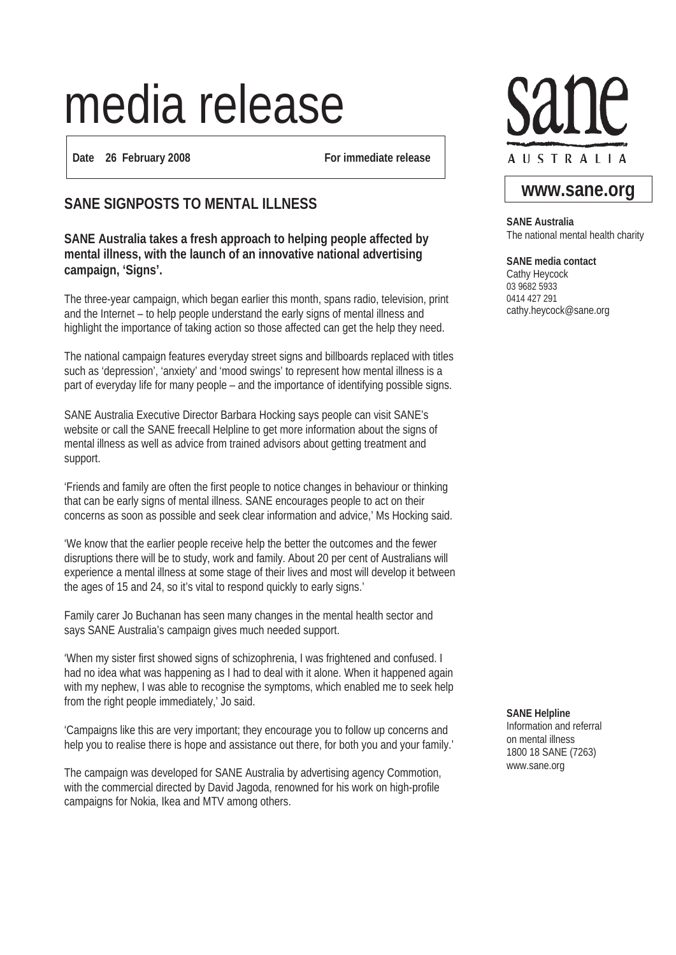# media release

**Date 26 February 2008 For immediate release**

## **SANE SIGNPOSTS TO MENTAL ILLNESS**

#### **SANE Australia takes a fresh approach to helping people affected by mental illness, with the launch of an innovative national advertising campaign, 'Signs'.**

The three-year campaign, which began earlier this month, spans radio, television, print and the Internet – to help people understand the early signs of mental illness and highlight the importance of taking action so those affected can get the help they need.

The national campaign features everyday street signs and billboards replaced with titles such as 'depression', 'anxiety' and 'mood swings' to represent how mental illness is a part of everyday life for many people – and the importance of identifying possible signs.

SANE Australia Executive Director Barbara Hocking says people can visit SANE's website or call the SANE freecall Helpline to get more information about the signs of mental illness as well as advice from trained advisors about getting treatment and support.

'Friends and family are often the first people to notice changes in behaviour or thinking that can be early signs of mental illness. SANE encourages people to act on their concerns as soon as possible and seek clear information and advice,' Ms Hocking said.

'We know that the earlier people receive help the better the outcomes and the fewer disruptions there will be to study, work and family. About 20 per cent of Australians will experience a mental illness at some stage of their lives and most will develop it between the ages of 15 and 24, so it's vital to respond quickly to early signs.'

Family carer Jo Buchanan has seen many changes in the mental health sector and says SANE Australia's campaign gives much needed support.

'When my sister first showed signs of schizophrenia, I was frightened and confused. I had no idea what was happening as I had to deal with it alone. When it happened again with my nephew, I was able to recognise the symptoms, which enabled me to seek help from the right people immediately,' Jo said.

'Campaigns like this are very important; they encourage you to follow up concerns and help you to realise there is hope and assistance out there, for both you and your family.'

The campaign was developed for SANE Australia by advertising agency Commotion, with the commercial directed by David Jagoda, renowned for his work on high-profile campaigns for Nokia, Ikea and MTV among others.



## **www.sane.org**

**SANE Australia** The national mental health charity

**SANE media contact**

Cathy Heycock 03 9682 5933 0414 427 291 cathy.heycock@sane.org

**SANE Helpline** Information and referral on mental illness 1800 18 SANE (7263) www.sane.org